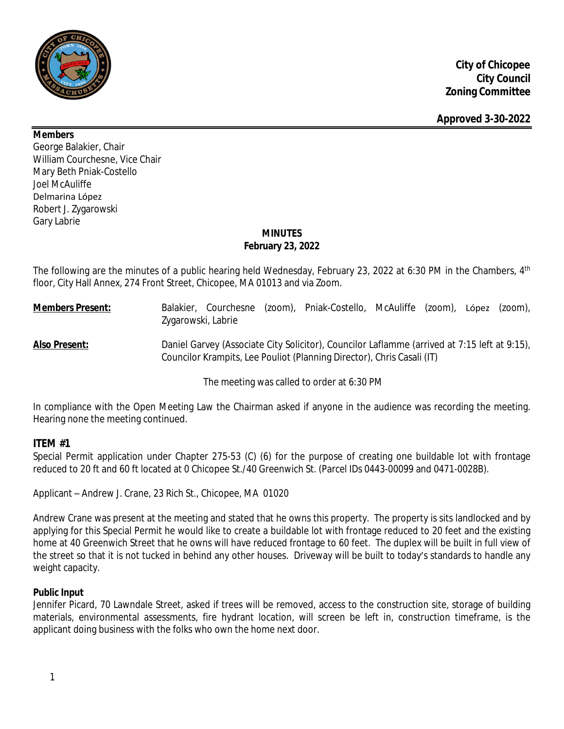

**Members**

George Balakier, Chair William Courchesne, Vice Chair Mary Beth Pniak-Costello Joel McAuliffe Delmarina López Robert J. Zygarowski Gary Labrie

# **MINUTES February 23, 2022**

The following are the minutes of a public hearing held Wednesday, February 23, 2022 at 6:30 PM in the Chambers, 4<sup>th</sup> floor, City Hall Annex, 274 Front Street, Chicopee, MA 01013 and via Zoom.

# **Members Present:** Balakier, Courchesne (zoom), Pniak-Costello, McAuliffe (zoom), López (zoom), Zygarowski, Labrie **Also Present:** Daniel Garvey (Associate City Solicitor), Councilor Laflamme (arrived at 7:15 left at 9:15), Councilor Krampits, Lee Pouliot (Planning Director), Chris Casali (IT)

The meeting was called to order at 6:30 PM

In compliance with the Open Meeting Law the Chairman asked if anyone in the audience was recording the meeting. Hearing none the meeting continued.

# **ITEM #1**

Special Permit application under Chapter 275-53 (C) (6) for the purpose of creating one buildable lot with frontage reduced to 20 ft and 60 ft located at 0 Chicopee St./40 Greenwich St. (Parcel IDs 0443-00099 and 0471-0028B).

Applicant – Andrew J. Crane, 23 Rich St., Chicopee, MA 01020

Andrew Crane was present at the meeting and stated that he owns this property. The property is sits landlocked and by applying for this Special Permit he would like to create a buildable lot with frontage reduced to 20 feet and the existing home at 40 Greenwich Street that he owns will have reduced frontage to 60 feet. The duplex will be built in full view of the street so that it is not tucked in behind any other houses. Driveway will be built to today's standards to handle any weight capacity.

# **Public Input**

Jennifer Picard, 70 Lawndale Street, asked if trees will be removed, access to the construction site, storage of building materials, environmental assessments, fire hydrant location, will screen be left in, construction timeframe, is the applicant doing business with the folks who own the home next door.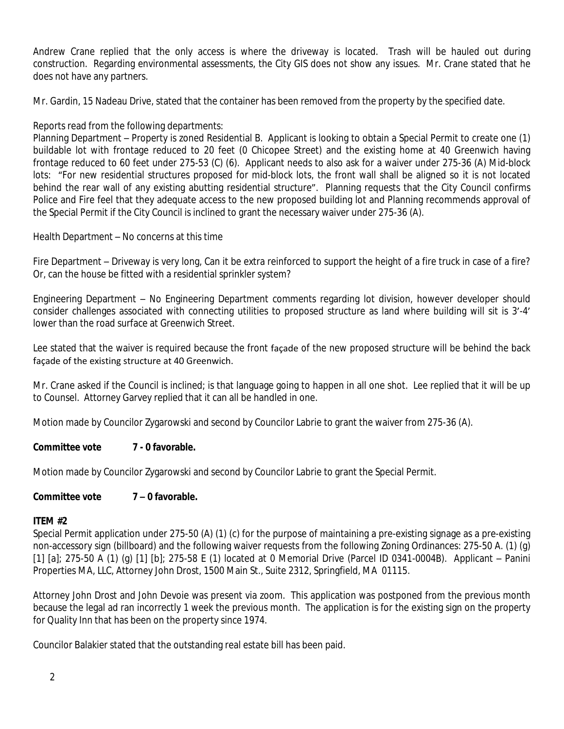Andrew Crane replied that the only access is where the driveway is located. Trash will be hauled out during construction. Regarding environmental assessments, the City GIS does not show any issues. Mr. Crane stated that he does not have any partners.

Mr. Gardin, 15 Nadeau Drive, stated that the container has been removed from the property by the specified date.

# Reports read from the following departments:

Planning Department – Property is zoned Residential B. Applicant is looking to obtain a Special Permit to create one (1) buildable lot with frontage reduced to 20 feet (0 Chicopee Street) and the existing home at 40 Greenwich having frontage reduced to 60 feet under 275-53 (C) (6). Applicant needs to also ask for a waiver under 275-36 (A) Mid-block lots: "For new residential structures proposed for mid-block lots, the front wall shall be aligned so it is not located behind the rear wall of any existing abutting residential structure". Planning requests that the City Council confirms Police and Fire feel that they adequate access to the new proposed building lot and Planning recommends approval of the Special Permit if the City Council is inclined to grant the necessary waiver under 275-36 (A).

# Health Department – No concerns at this time

Fire Department – Driveway is very long, Can it be extra reinforced to support the height of a fire truck in case of a fire? Or, can the house be fitted with a residential sprinkler system?

Engineering Department – No Engineering Department comments regarding lot division, however developer should consider challenges associated with connecting utilities to proposed structure as land where building will sit is 3'-4' lower than the road surface at Greenwich Street.

Lee stated that the waiver is required because the front façade of the new proposed structure will be behind the back façade of the existing structure at 40 Greenwich.

Mr. Crane asked if the Council is inclined; is that language going to happen in all one shot. Lee replied that it will be up to Counsel. Attorney Garvey replied that it can all be handled in one.

Motion made by Councilor Zygarowski and second by Councilor Labrie to grant the waiver from 275-36 (A).

# **Committee vote 7 - 0 favorable.**

Motion made by Councilor Zygarowski and second by Councilor Labrie to grant the Special Permit.

# **Committee vote 7 – 0 favorable.**

# **ITEM #2**

Special Permit application under 275-50 (A) (1) (c) for the purpose of maintaining a pre-existing signage as a pre-existing non-accessory sign (billboard) and the following waiver requests from the following Zoning Ordinances: 275-50 A. (1) (g) [1] [a]; 275-50 A (1) (g) [1] [b]; 275-58 E (1) located at 0 Memorial Drive (Parcel ID 0341-0004B). Applicant – Panini Properties MA, LLC, Attorney John Drost, 1500 Main St., Suite 2312, Springfield, MA 01115.

Attorney John Drost and John Devoie was present via zoom. This application was postponed from the previous month because the legal ad ran incorrectly 1 week the previous month. The application is for the existing sign on the property for Quality Inn that has been on the property since 1974.

Councilor Balakier stated that the outstanding real estate bill has been paid.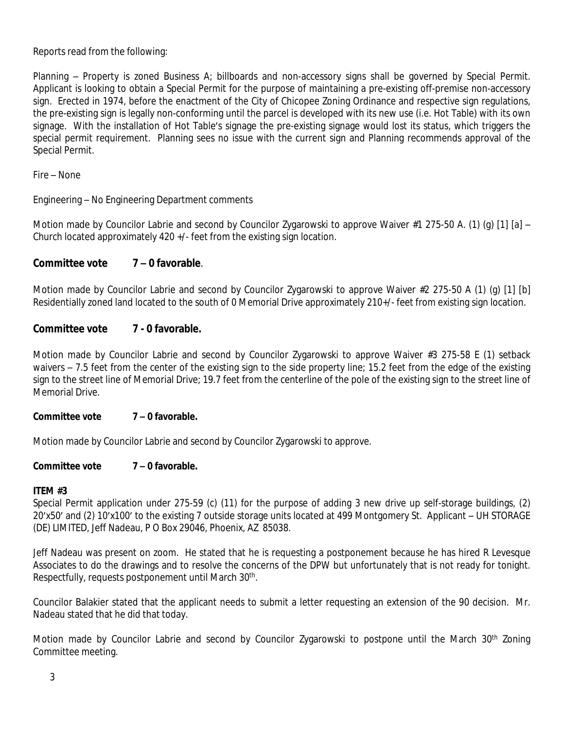Reports read from the following:

Planning – Property is zoned Business A; billboards and non-accessory signs shall be governed by Special Permit. Applicant is looking to obtain a Special Permit for the purpose of maintaining a pre-existing off-premise non-accessory sign. Erected in 1974, before the enactment of the City of Chicopee Zoning Ordinance and respective sign regulations, the pre-existing sign is legally non-conforming until the parcel is developed with its new use (i.e. Hot Table) with its own signage. With the installation of Hot Table's signage the pre-existing signage would lost its status, which triggers the special permit requirement. Planning sees no issue with the current sign and Planning recommends approval of the Special Permit.

Fire – None

Engineering – No Engineering Department comments

Motion made by Councilor Labrie and second by Councilor Zygarowski to approve Waiver #1 275-50 A. (1) (g) [1] [a] – Church located approximately 420 +/- feet from the existing sign location.

# **Committee vote 7 – 0 favorable**.

Motion made by Councilor Labrie and second by Councilor Zygarowski to approve Waiver #2 275-50 A (1) (g) [1] [b] Residentially zoned land located to the south of 0 Memorial Drive approximately 210+/- feet from existing sign location.

### **Committee vote 7 - 0 favorable.**

Motion made by Councilor Labrie and second by Councilor Zygarowski to approve Waiver #3 275-58 E (1) setback waivers – 7.5 feet from the center of the existing sign to the side property line; 15.2 feet from the edge of the existing sign to the street line of Memorial Drive; 19.7 feet from the centerline of the pole of the existing sign to the street line of Memorial Drive.

#### **Committee vote 7 – 0 favorable.**

Motion made by Councilor Labrie and second by Councilor Zygarowski to approve.

#### **Committee vote 7 – 0 favorable.**

#### **ITEM #3**

Special Permit application under 275-59 (c) (11) for the purpose of adding 3 new drive up self-storage buildings, (2) 20'x50' and (2) 10'x100' to the existing 7 outside storage units located at 499 Montgomery St. Applicant – UH STORAGE (DE) LIMITED, Jeff Nadeau, P O Box 29046, Phoenix, AZ 85038.

Jeff Nadeau was present on zoom. He stated that he is requesting a postponement because he has hired R Levesque Associates to do the drawings and to resolve the concerns of the DPW but unfortunately that is not ready for tonight. Respectfully, requests postponement until March 30<sup>th</sup>.

Councilor Balakier stated that the applicant needs to submit a letter requesting an extension of the 90 decision. Mr. Nadeau stated that he did that today.

Motion made by Councilor Labrie and second by Councilor Zygarowski to postpone until the March 30<sup>th</sup> Zoning Committee meeting.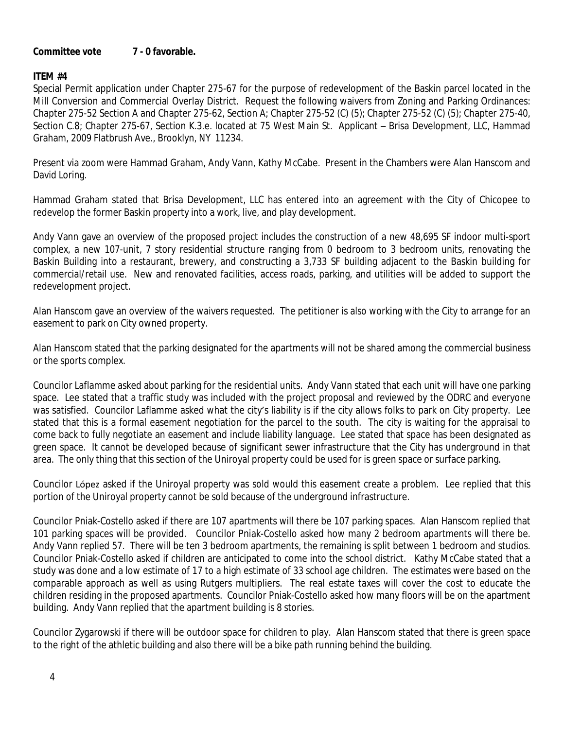#### **Committee vote 7 - 0 favorable.**

#### **ITEM #4**

Special Permit application under Chapter 275-67 for the purpose of redevelopment of the Baskin parcel located in the Mill Conversion and Commercial Overlay District. Request the following waivers from Zoning and Parking Ordinances: Chapter 275-52 Section A and Chapter 275-62, Section A; Chapter 275-52 (C) (5); Chapter 275-52 (C) (5); Chapter 275-40, Section C.8; Chapter 275-67, Section K.3.e. located at 75 West Main St. Applicant – Brisa Development, LLC, Hammad Graham, 2009 Flatbrush Ave., Brooklyn, NY 11234.

Present via zoom were Hammad Graham, Andy Vann, Kathy McCabe. Present in the Chambers were Alan Hanscom and David Loring.

Hammad Graham stated that Brisa Development, LLC has entered into an agreement with the City of Chicopee to redevelop the former Baskin property into a work, live, and play development.

Andy Vann gave an overview of the proposed project includes the construction of a new 48,695 SF indoor multi-sport complex, a new 107-unit, 7 story residential structure ranging from 0 bedroom to 3 bedroom units, renovating the Baskin Building into a restaurant, brewery, and constructing a 3,733 SF building adjacent to the Baskin building for commercial/retail use. New and renovated facilities, access roads, parking, and utilities will be added to support the redevelopment project.

Alan Hanscom gave an overview of the waivers requested. The petitioner is also working with the City to arrange for an easement to park on City owned property.

Alan Hanscom stated that the parking designated for the apartments will not be shared among the commercial business or the sports complex.

Councilor Laflamme asked about parking for the residential units. Andy Vann stated that each unit will have one parking space. Lee stated that a traffic study was included with the project proposal and reviewed by the ODRC and everyone was satisfied. Councilor Laflamme asked what the city's liability is if the city allows folks to park on City property. Lee stated that this is a formal easement negotiation for the parcel to the south. The city is waiting for the appraisal to come back to fully negotiate an easement and include liability language. Lee stated that space has been designated as green space. It cannot be developed because of significant sewer infrastructure that the City has underground in that area. The only thing that this section of the Uniroyal property could be used for is green space or surface parking.

Councilor López asked if the Uniroyal property was sold would this easement create a problem. Lee replied that this portion of the Uniroyal property cannot be sold because of the underground infrastructure.

Councilor Pniak-Costello asked if there are 107 apartments will there be 107 parking spaces. Alan Hanscom replied that 101 parking spaces will be provided. Councilor Pniak-Costello asked how many 2 bedroom apartments will there be. Andy Vann replied 57. There will be ten 3 bedroom apartments, the remaining is split between 1 bedroom and studios. Councilor Pniak-Costello asked if children are anticipated to come into the school district. Kathy McCabe stated that a study was done and a low estimate of 17 to a high estimate of 33 school age children. The estimates were based on the comparable approach as well as using Rutgers multipliers. The real estate taxes will cover the cost to educate the children residing in the proposed apartments. Councilor Pniak-Costello asked how many floors will be on the apartment building. Andy Vann replied that the apartment building is 8 stories.

Councilor Zygarowski if there will be outdoor space for children to play. Alan Hanscom stated that there is green space to the right of the athletic building and also there will be a bike path running behind the building.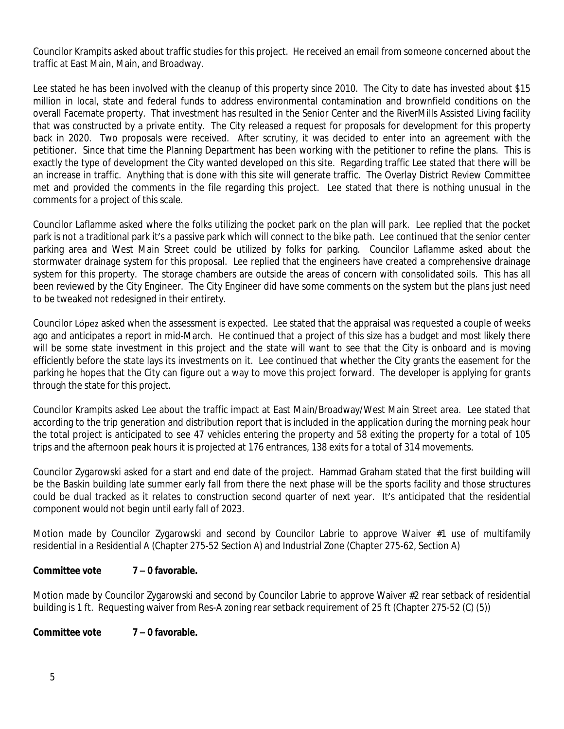Councilor Krampits asked about traffic studies for this project. He received an email from someone concerned about the traffic at East Main, Main, and Broadway.

Lee stated he has been involved with the cleanup of this property since 2010. The City to date has invested about \$15 million in local, state and federal funds to address environmental contamination and brownfield conditions on the overall Facemate property. That investment has resulted in the Senior Center and the RiverMills Assisted Living facility that was constructed by a private entity. The City released a request for proposals for development for this property back in 2020. Two proposals were received. After scrutiny, it was decided to enter into an agreement with the petitioner. Since that time the Planning Department has been working with the petitioner to refine the plans. This is exactly the type of development the City wanted developed on this site. Regarding traffic Lee stated that there will be an increase in traffic. Anything that is done with this site will generate traffic. The Overlay District Review Committee met and provided the comments in the file regarding this project. Lee stated that there is nothing unusual in the comments for a project of this scale.

Councilor Laflamme asked where the folks utilizing the pocket park on the plan will park. Lee replied that the pocket park is not a traditional park it's a passive park which will connect to the bike path. Lee continued that the senior center parking area and West Main Street could be utilized by folks for parking. Councilor Laflamme asked about the stormwater drainage system for this proposal. Lee replied that the engineers have created a comprehensive drainage system for this property. The storage chambers are outside the areas of concern with consolidated soils. This has all been reviewed by the City Engineer. The City Engineer did have some comments on the system but the plans just need to be tweaked not redesigned in their entirety.

Councilor López asked when the assessment is expected. Lee stated that the appraisal was requested a couple of weeks ago and anticipates a report in mid-March. He continued that a project of this size has a budget and most likely there will be some state investment in this project and the state will want to see that the City is onboard and is moving efficiently before the state lays its investments on it. Lee continued that whether the City grants the easement for the parking he hopes that the City can figure out a way to move this project forward. The developer is applying for grants through the state for this project.

Councilor Krampits asked Lee about the traffic impact at East Main/Broadway/West Main Street area. Lee stated that according to the trip generation and distribution report that is included in the application during the morning peak hour the total project is anticipated to see 47 vehicles entering the property and 58 exiting the property for a total of 105 trips and the afternoon peak hours it is projected at 176 entrances, 138 exits for a total of 314 movements.

Councilor Zygarowski asked for a start and end date of the project. Hammad Graham stated that the first building will be the Baskin building late summer early fall from there the next phase will be the sports facility and those structures could be dual tracked as it relates to construction second quarter of next year. It's anticipated that the residential component would not begin until early fall of 2023.

Motion made by Councilor Zygarowski and second by Councilor Labrie to approve Waiver #1 use of multifamily residential in a Residential A (Chapter 275-52 Section A) and Industrial Zone (Chapter 275-62, Section A)

# **Committee vote 7 – 0 favorable.**

Motion made by Councilor Zygarowski and second by Councilor Labrie to approve Waiver #2 rear setback of residential building is 1 ft. Requesting waiver from Res-A zoning rear setback requirement of 25 ft (Chapter 275-52 (C) (5))

#### **Committee vote 7 – 0 favorable.**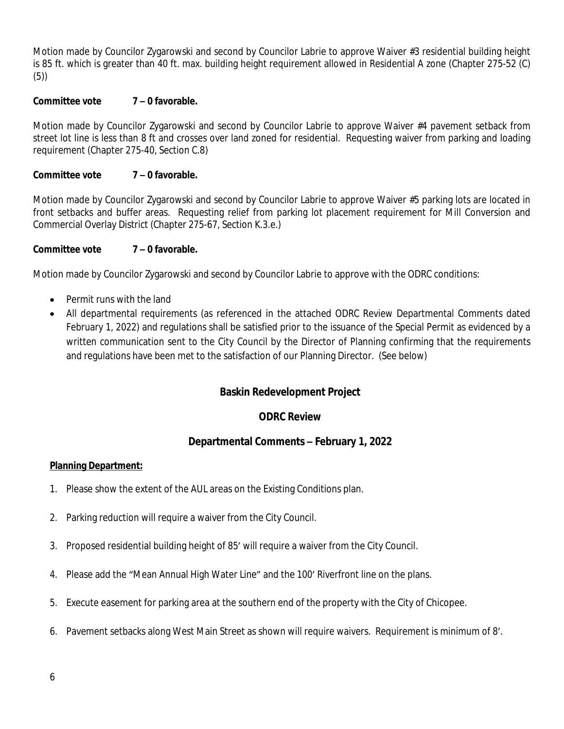Motion made by Councilor Zygarowski and second by Councilor Labrie to approve Waiver #3 residential building height is 85 ft. which is greater than 40 ft. max. building height requirement allowed in Residential A zone (Chapter 275-52 (C) (5))

### **Committee vote 7 – 0 favorable.**

Motion made by Councilor Zygarowski and second by Councilor Labrie to approve Waiver #4 pavement setback from street lot line is less than 8 ft and crosses over land zoned for residential. Requesting waiver from parking and loading requirement (Chapter 275-40, Section C.8)

#### **Committee vote 7 – 0 favorable.**

Motion made by Councilor Zygarowski and second by Councilor Labrie to approve Waiver #5 parking lots are located in front setbacks and buffer areas. Requesting relief from parking lot placement requirement for Mill Conversion and Commercial Overlay District (Chapter 275-67, Section K.3.e.)

#### **Committee vote 7 – 0 favorable.**

Motion made by Councilor Zygarowski and second by Councilor Labrie to approve with the ODRC conditions:

- Permit runs with the land
- All departmental requirements (as referenced in the attached ODRC Review Departmental Comments dated February 1, 2022) and regulations shall be satisfied prior to the issuance of the Special Permit as evidenced by a written communication sent to the City Council by the Director of Planning confirming that the requirements and regulations have been met to the satisfaction of our Planning Director. (See below)

# **Baskin Redevelopment Project**

#### **ODRC Review**

# **Departmental Comments – February 1, 2022**

#### **Planning Department:**

- 1. Please show the extent of the AUL areas on the Existing Conditions plan.
- 2. Parking reduction will require a waiver from the City Council.
- 3. Proposed residential building height of 85' will require a waiver from the City Council.
- 4. Please add the "Mean Annual High Water Line" and the 100' Riverfront line on the plans.
- 5. Execute easement for parking area at the southern end of the property with the City of Chicopee.
- 6. Pavement setbacks along West Main Street as shown will require waivers. Requirement is minimum of 8'.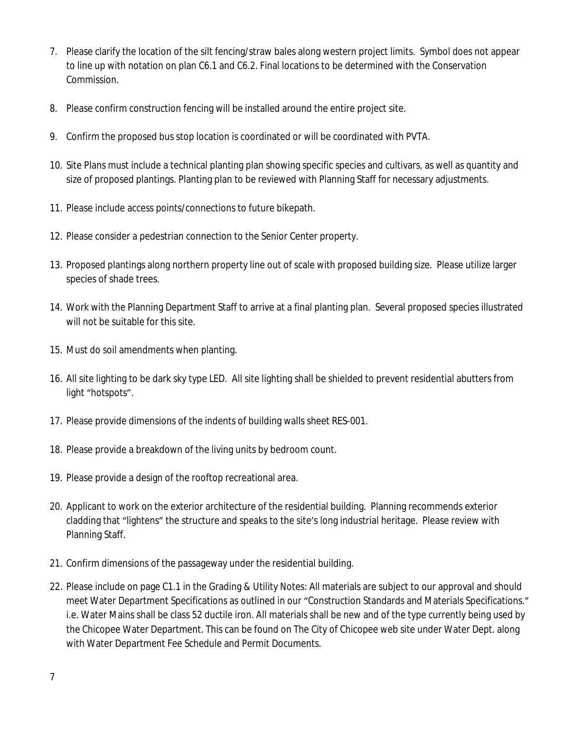- 7. Please clarify the location of the silt fencing/straw bales along western project limits. Symbol does not appear to line up with notation on plan C6.1 and C6.2. Final locations to be determined with the Conservation Commission.
- 8. Please confirm construction fencing will be installed around the entire project site.
- 9. Confirm the proposed bus stop location is coordinated or will be coordinated with PVTA.
- 10. Site Plans must include a technical planting plan showing specific species and cultivars, as well as quantity and size of proposed plantings. Planting plan to be reviewed with Planning Staff for necessary adjustments.
- 11. Please include access points/connections to future bikepath.
- 12. Please consider a pedestrian connection to the Senior Center property.
- 13. Proposed plantings along northern property line out of scale with proposed building size. Please utilize larger species of shade trees.
- 14. Work with the Planning Department Staff to arrive at a final planting plan. Several proposed species illustrated will not be suitable for this site.
- 15. Must do soil amendments when planting.
- 16. All site lighting to be dark sky type LED. All site lighting shall be shielded to prevent residential abutters from light "hotspots".
- 17. Please provide dimensions of the indents of building walls sheet RES-001.
- 18. Please provide a breakdown of the living units by bedroom count.
- 19. Please provide a design of the rooftop recreational area.
- 20. Applicant to work on the exterior architecture of the residential building. Planning recommends exterior cladding that "lightens" the structure and speaks to the site's long industrial heritage. Please review with Planning Staff.
- 21. Confirm dimensions of the passageway under the residential building.
- 22. Please include on page C1.1 in the Grading & Utility Notes: All materials are subject to our approval and should meet Water Department Specifications as outlined in our "Construction Standards and Materials Specifications." i.e. Water Mains shall be class 52 ductile iron. All materials shall be new and of the type currently being used by the Chicopee Water Department. This can be found on The City of Chicopee web site under Water Dept. along with Water Department Fee Schedule and Permit Documents.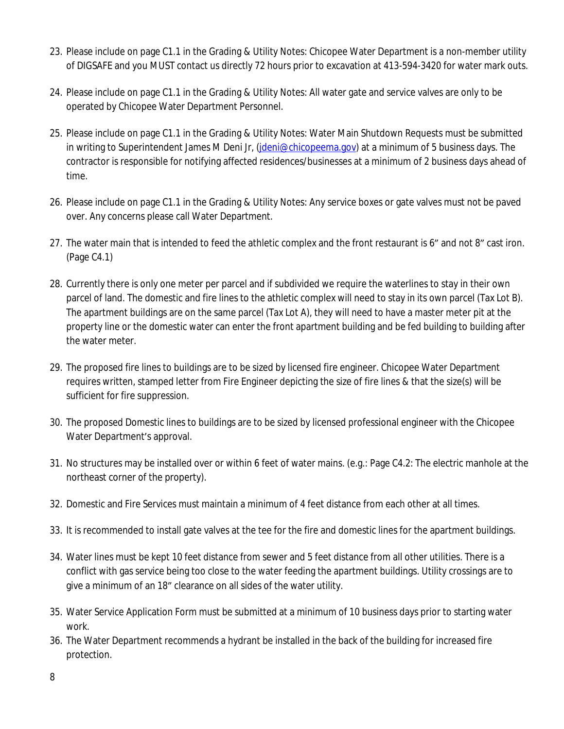- 23. Please include on page C1.1 in the Grading & Utility Notes: Chicopee Water Department is a non-member utility of DIGSAFE and you MUST contact us directly 72 hours prior to excavation at 413-594-3420 for water mark outs.
- 24. Please include on page C1.1 in the Grading & Utility Notes: All water gate and service valves are only to be operated by Chicopee Water Department Personnel.
- 25. Please include on page C1.1 in the Grading & Utility Notes: Water Main Shutdown Requests must be submitted in writing to Superintendent James M Deni Jr, (*jdeni@chicopeema.gov*) at a minimum of 5 business days. The contractor is responsible for notifying affected residences/businesses at a minimum of 2 business days ahead of time.
- 26. Please include on page C1.1 in the Grading & Utility Notes: Any service boxes or gate valves must not be paved over. Any concerns please call Water Department.
- 27. The water main that is intended to feed the athletic complex and the front restaurant is 6" and not 8" cast iron. (Page C4.1)
- 28. Currently there is only one meter per parcel and if subdivided we require the waterlines to stay in their own parcel of land. The domestic and fire lines to the athletic complex will need to stay in its own parcel (Tax Lot B). The apartment buildings are on the same parcel (Tax Lot A), they will need to have a master meter pit at the property line or the domestic water can enter the front apartment building and be fed building to building after the water meter.
- 29. The proposed fire lines to buildings are to be sized by licensed fire engineer. Chicopee Water Department requires written, stamped letter from Fire Engineer depicting the size of fire lines & that the size(s) will be sufficient for fire suppression.
- 30. The proposed Domestic lines to buildings are to be sized by licensed professional engineer with the Chicopee Water Department's approval.
- 31. No structures may be installed over or within 6 feet of water mains. (e.g.: Page C4.2: The electric manhole at the northeast corner of the property).
- 32. Domestic and Fire Services must maintain a minimum of 4 feet distance from each other at all times.
- 33. It is recommended to install gate valves at the tee for the fire and domestic lines for the apartment buildings.
- 34. Water lines must be kept 10 feet distance from sewer and 5 feet distance from all other utilities. There is a conflict with gas service being too close to the water feeding the apartment buildings. Utility crossings are to give a minimum of an 18" clearance on all sides of the water utility.
- 35. Water Service Application Form must be submitted at a minimum of 10 business days prior to starting water work.
- 36. The Water Department recommends a hydrant be installed in the back of the building for increased fire protection.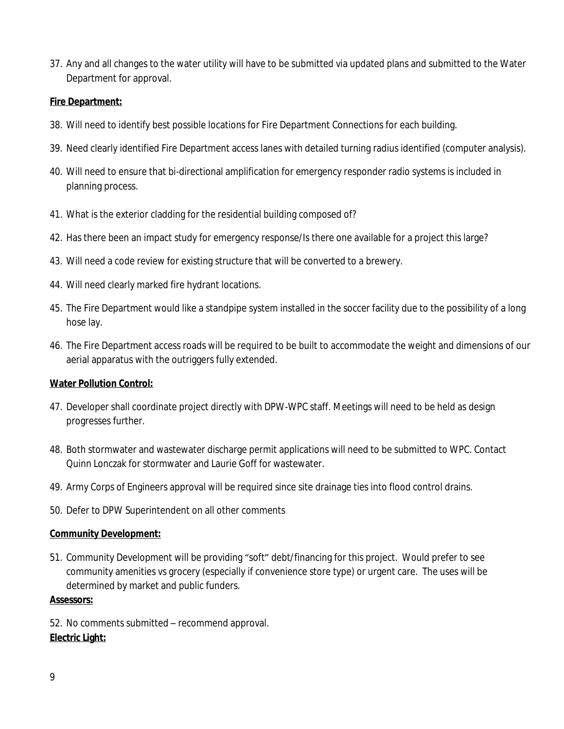37. Any and all changes to the water utility will have to be submitted via updated plans and submitted to the Water Department for approval.

### **Fire Department:**

- 38. Will need to identify best possible locations for Fire Department Connections for each building.
- 39. Need clearly identified Fire Department access lanes with detailed turning radius identified (computer analysis).
- 40. Will need to ensure that bi-directional amplification for emergency responder radio systems is included in planning process.
- 41. What is the exterior cladding for the residential building composed of?
- 42. Has there been an impact study for emergency response/Is there one available for a project this large?
- 43. Will need a code review for existing structure that will be converted to a brewery.
- 44. Will need clearly marked fire hydrant locations.
- 45. The Fire Department would like a standpipe system installed in the soccer facility due to the possibility of a long hose lay.
- 46. The Fire Department access roads will be required to be built to accommodate the weight and dimensions of our aerial apparatus with the outriggers fully extended.

#### **Water Pollution Control:**

- 47. Developer shall coordinate project directly with DPW-WPC staff. Meetings will need to be held as design progresses further.
- 48. Both stormwater and wastewater discharge permit applications will need to be submitted to WPC. Contact Quinn Lonczak for stormwater and Laurie Goff for wastewater.
- 49. Army Corps of Engineers approval will be required since site drainage ties into flood control drains.
- 50. Defer to DPW Superintendent on all other comments

#### **Community Development:**

51. Community Development will be providing "soft" debt/financing for this project. Would prefer to see community amenities vs grocery (especially if convenience store type) or urgent care. The uses will be determined by market and public funders.

#### **Assessors:**

52. No comments submitted – recommend approval. **Electric Light:**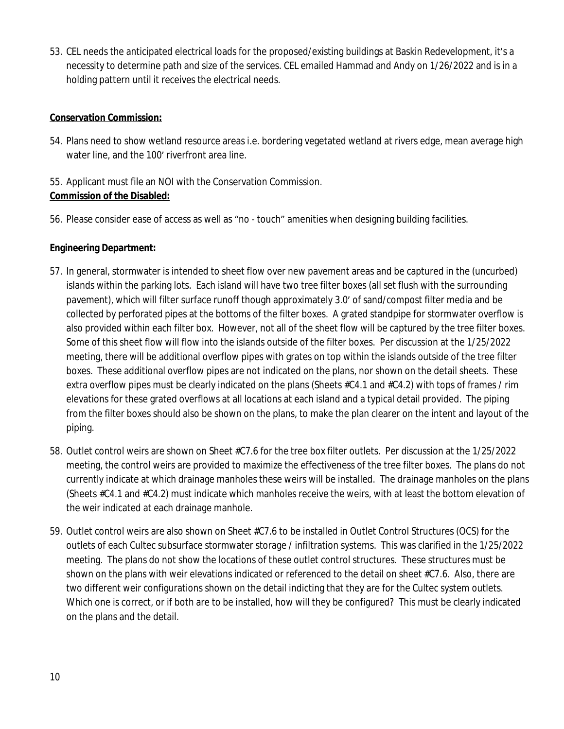53. CEL needs the anticipated electrical loads for the proposed/existing buildings at Baskin Redevelopment, it's a necessity to determine path and size of the services. CEL emailed Hammad and Andy on 1/26/2022 and is in a holding pattern until it receives the electrical needs.

# **Conservation Commission:**

- 54. Plans need to show wetland resource areas i.e. bordering vegetated wetland at rivers edge, mean average high water line, and the 100' riverfront area line.
- 55. Applicant must file an NOI with the Conservation Commission. **Commission of the Disabled:**
- 56. Please consider ease of access as well as "no touch" amenities when designing building facilities.

# **Engineering Department:**

- 57. In general, stormwater is intended to sheet flow over new pavement areas and be captured in the (uncurbed) islands within the parking lots. Each island will have two tree filter boxes (all set flush with the surrounding pavement), which will filter surface runoff though approximately 3.0' of sand/compost filter media and be collected by perforated pipes at the bottoms of the filter boxes. A grated standpipe for stormwater overflow is also provided within each filter box. However, not all of the sheet flow will be captured by the tree filter boxes. Some of this sheet flow will flow into the islands outside of the filter boxes. Per discussion at the 1/25/2022 meeting, there will be additional overflow pipes with grates on top within the islands outside of the tree filter boxes. These additional overflow pipes are not indicated on the plans, nor shown on the detail sheets. These extra overflow pipes must be clearly indicated on the plans (Sheets #C4.1 and #C4.2) with tops of frames / rim elevations for these grated overflows at all locations at each island and a typical detail provided. The piping from the filter boxes should also be shown on the plans, to make the plan clearer on the intent and layout of the piping.
- 58. Outlet control weirs are shown on Sheet #C7.6 for the tree box filter outlets. Per discussion at the 1/25/2022 meeting, the control weirs are provided to maximize the effectiveness of the tree filter boxes. The plans do not currently indicate at which drainage manholes these weirs will be installed. The drainage manholes on the plans (Sheets #C4.1 and #C4.2) must indicate which manholes receive the weirs, with at least the bottom elevation of the weir indicated at each drainage manhole.
- 59. Outlet control weirs are also shown on Sheet #C7.6 to be installed in Outlet Control Structures (OCS) for the outlets of each Cultec subsurface stormwater storage / infiltration systems. This was clarified in the 1/25/2022 meeting. The plans do not show the locations of these outlet control structures. These structures must be shown on the plans with weir elevations indicated or referenced to the detail on sheet #C7.6. Also, there are two different weir configurations shown on the detail indicting that they are for the Cultec system outlets. Which one is correct, or if both are to be installed, how will they be configured? This must be clearly indicated on the plans and the detail.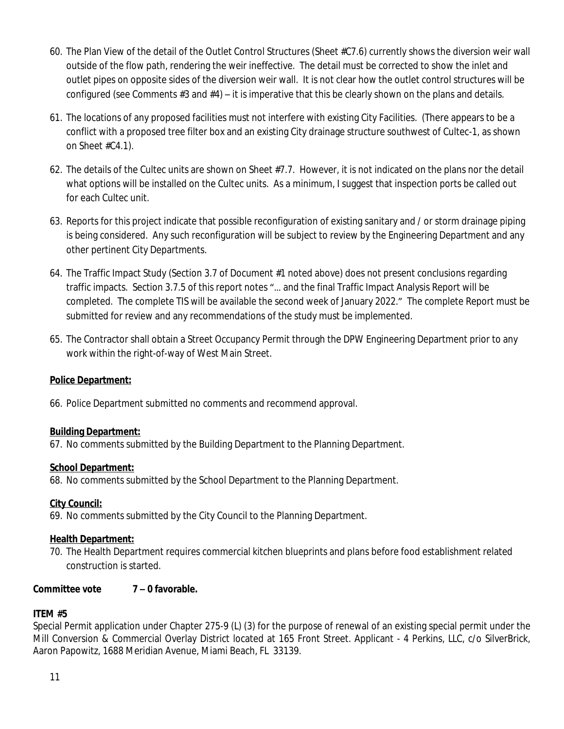- 60. The Plan View of the detail of the Outlet Control Structures (Sheet #C7.6) currently shows the diversion weir wall outside of the flow path, rendering the weir ineffective. The detail must be corrected to show the inlet and outlet pipes on opposite sides of the diversion weir wall. It is not clear how the outlet control structures will be configured (see Comments  $#3$  and  $#4$ ) – it is imperative that this be clearly shown on the plans and details.
- 61. The locations of any proposed facilities must not interfere with existing City Facilities. (There appears to be a conflict with a proposed tree filter box and an existing City drainage structure southwest of Cultec-1, as shown on Sheet #C4.1).
- 62. The details of the Cultec units are shown on Sheet #7.7. However, it is not indicated on the plans nor the detail what options will be installed on the Cultec units. As a minimum, I suggest that inspection ports be called out for each Cultec unit.
- 63. Reports for this project indicate that possible reconfiguration of existing sanitary and / or storm drainage piping is being considered. Any such reconfiguration will be subject to review by the Engineering Department and any other pertinent City Departments.
- 64. The Traffic Impact Study (Section 3.7 of Document #1 noted above) does not present conclusions regarding traffic impacts. Section 3.7.5 of this report notes "… and the final Traffic Impact Analysis Report will be completed. The complete TIS will be available the second week of January 2022." The complete Report must be submitted for review and any recommendations of the study must be implemented.
- 65. The Contractor shall obtain a Street Occupancy Permit through the DPW Engineering Department prior to any work within the right-of-way of West Main Street.

# **Police Department:**

66. Police Department submitted no comments and recommend approval.

# **Building Department:**

67. No comments submitted by the Building Department to the Planning Department.

# **School Department:**

68. No comments submitted by the School Department to the Planning Department.

# **City Council:**

69. No comments submitted by the City Council to the Planning Department.

#### **Health Department:**

70. The Health Department requires commercial kitchen blueprints and plans before food establishment related construction is started.

# **Committee vote 7 – 0 favorable.**

# **ITEM #5**

Special Permit application under Chapter 275-9 (L) (3) for the purpose of renewal of an existing special permit under the Mill Conversion & Commercial Overlay District located at 165 Front Street. Applicant - 4 Perkins, LLC, c/o SilverBrick, Aaron Papowitz, 1688 Meridian Avenue, Miami Beach, FL 33139.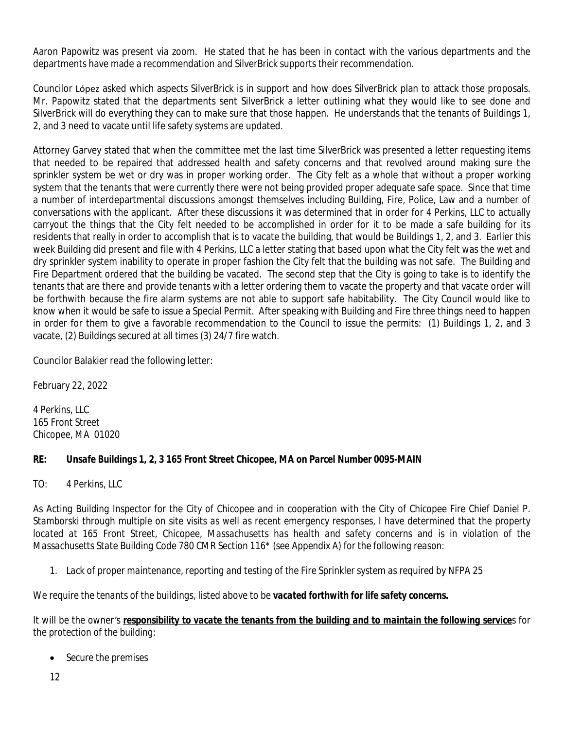Aaron Papowitz was present via zoom. He stated that he has been in contact with the various departments and the departments have made a recommendation and SilverBrick supports their recommendation.

Councilor López asked which aspects SilverBrick is in support and how does SilverBrick plan to attack those proposals. Mr. Papowitz stated that the departments sent SilverBrick a letter outlining what they would like to see done and SilverBrick will do everything they can to make sure that those happen. He understands that the tenants of Buildings 1, 2, and 3 need to vacate until life safety systems are updated.

Attorney Garvey stated that when the committee met the last time SilverBrick was presented a letter requesting items that needed to be repaired that addressed health and safety concerns and that revolved around making sure the sprinkler system be wet or dry was in proper working order. The City felt as a whole that without a proper working system that the tenants that were currently there were not being provided proper adequate safe space. Since that time a number of interdepartmental discussions amongst themselves including Building, Fire, Police, Law and a number of conversations with the applicant. After these discussions it was determined that in order for 4 Perkins, LLC to actually carryout the things that the City felt needed to be accomplished in order for it to be made a safe building for its residents that really in order to accomplish that is to vacate the building, that would be Buildings 1, 2, and 3. Earlier this week Building did present and file with 4 Perkins, LLC a letter stating that based upon what the City felt was the wet and dry sprinkler system inability to operate in proper fashion the City felt that the building was not safe. The Building and Fire Department ordered that the building be vacated. The second step that the City is going to take is to identify the tenants that are there and provide tenants with a letter ordering them to vacate the property and that vacate order will be forthwith because the fire alarm systems are not able to support safe habitability. The City Council would like to know when it would be safe to issue a Special Permit. After speaking with Building and Fire three things need to happen in order for them to give a favorable recommendation to the Council to issue the permits: (1) Buildings 1, 2, and 3 vacate, (2) Buildings secured at all times (3) 24/7 fire watch.

Councilor Balakier read the following letter:

*February 22, 2022*

*4 Perkins, LLC 165 Front Street Chicopee, MA 01020*

# *RE: Unsafe Buildings 1, 2, 3 165 Front Street Chicopee, MA on Parcel Number 0095-MAIN*

*TO: 4 Perkins, LLC*

As Acting Building Inspector for the City of Chicopee and in cooperation with the City of Chicopee Fire Chief Daniel P. Stamborski through multiple on site visits as well as recent emergency responses, I have determined that the property located at 165 Front Street, Chicopee, Massachusetts has health and safety concerns and is in violation of the *Massachusetts State Building Code 780 CMR Section 116\* (see Appendix A) for the following reason:*

*1. Lack of proper maintenance, reporting and testing of the Fire Sprinkler system as required by NFPA 25*

*We require the tenants of the buildings, listed above to be vacated forthwith for life safety concerns.*

*It will be the owner's responsibility to vacate the tenants from the building and to maintain the following services for the protection of the building:*

*Secure the premises*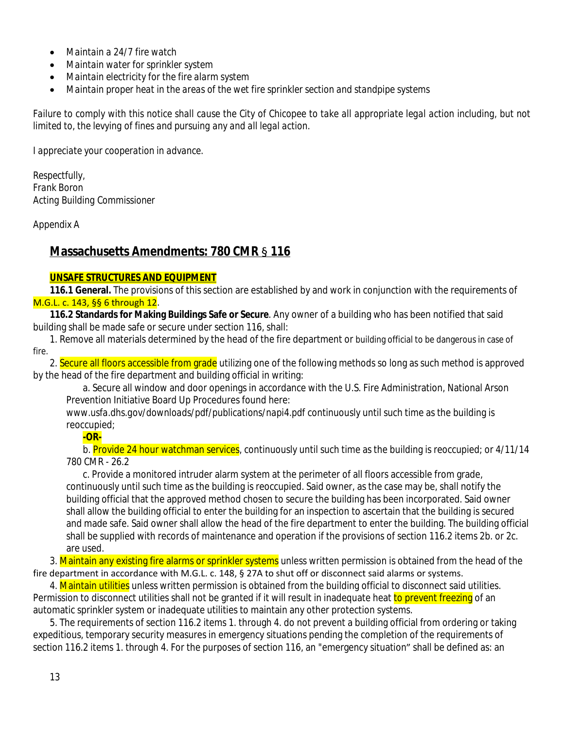- *Maintain a 24/7 fire watch*
- *Maintain water for sprinkler system*
- *Maintain electricity for the fire alarm system*
- *Maintain proper heat in the areas of the wet fire sprinkler section and standpipe systems*

Failure to comply with this notice shall cause the City of Chicopee to take all appropriate legal action including, but not *limited to, the levying of fines and pursuing any and all legal action.*

*I appreciate your cooperation in advance.*

*Respectfully, Frank Boron Acting Building Commissioner*

*Appendix A*

# **Massachusetts Amendments: 780 CMR** § **116**

#### **UNSAFE STRUCTURES AND EQUIPMENT**

**116.1 General.** The provisions of this section are established by and work in conjunction with the requirements of M.G.L. c. 143, §§ 6 through 12.

**116.2 Standards for Making Buildings Safe or Secure**. Any owner of a building who has been notified that said building shall be made safe or secure under section 116, shall:

1. Remove all materials determined by the head of the fire department or building official to be dangerous in case of fire.

2. Secure all floors accessible from grade utilizing one of the following methods so long as such method is approved by the head of the fire department and building official in writing:

a. Secure all window and door openings in accordance with the U.S. Fire Administration, National Arson Prevention Initiative Board Up Procedures found here:

*www.usfa.dhs.gov/downloads/pdf/publications/napi4.pdf* continuously until such time as the building is reoccupied;

#### **-OR-**

b. Provide 24 hour watchman services, continuously until such time as the building is reoccupied; or 4/11/14 780 CMR - 26.2

c. Provide a monitored intruder alarm system at the perimeter of all floors accessible from grade, continuously until such time as the building is reoccupied. Said owner, as the case may be, shall notify the building official that the approved method chosen to secure the building has been incorporated. Said owner shall allow the building official to enter the building for an inspection to ascertain that the building is secured and made safe. Said owner shall allow the head of the fire department to enter the building. The building official shall be supplied with records of maintenance and operation if the provisions of section 116.2 items 2b. or 2c. are used.

3. Maintain any existing fire alarms or sprinkler systems unless written permission is obtained from the head of the fire department in accordance with M.G.L. c. 148, § 27A to shut off or disconnect said alarms or systems.

4. Maintain utilities unless written permission is obtained from the building official to disconnect said utilities. Permission to disconnect utilities shall not be granted if it will result in inadequate heat to prevent freezing of an automatic sprinkler system or inadequate utilities to maintain any other protection systems.

5. The requirements of section 116.2 items 1. through 4. do not prevent a building official from ordering or taking expeditious, temporary security measures in emergency situations pending the completion of the requirements of section 116.2 items 1. through 4. For the purposes of section 116, an "emergency situation" shall be defined as: an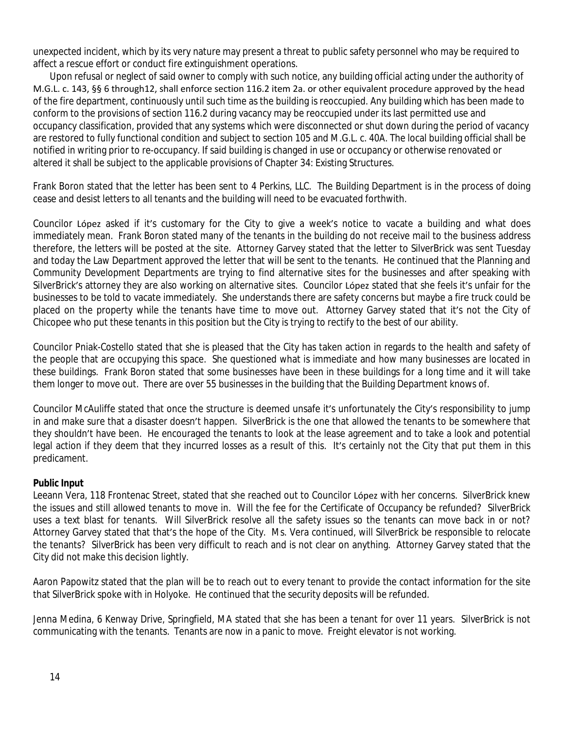unexpected incident, which by its very nature may present a threat to public safety personnel who may be required to affect a rescue effort or conduct fire extinguishment operations.

Upon refusal or neglect of said owner to comply with such notice, any building official acting under the authority of M.G.L. c. 143, §§ 6 through12, shall enforce section 116.2 item 2a. or other equivalent procedure approved by the head of the fire department, continuously until such time as the building is reoccupied. Any building which has been made to conform to the provisions of section 116.2 during vacancy may be reoccupied under its last permitted use and occupancy classification, provided that any systems which were disconnected or shut down during the period of vacancy are restored to fully functional condition and subject to section 105 and M.G.L. c. 40A. The local building official shall be notified in writing prior to re-occupancy. If said building is changed in use or occupancy or otherwise renovated or altered it shall be subject to the applicable provisions of Chapter 34: Existing Structures.

Frank Boron stated that the letter has been sent to 4 Perkins, LLC. The Building Department is in the process of doing cease and desist letters to all tenants and the building will need to be evacuated forthwith.

Councilor López asked if it's customary for the City to give a week's notice to vacate a building and what does immediately mean. Frank Boron stated many of the tenants in the building do not receive mail to the business address therefore, the letters will be posted at the site. Attorney Garvey stated that the letter to SilverBrick was sent Tuesday and today the Law Department approved the letter that will be sent to the tenants. He continued that the Planning and Community Development Departments are trying to find alternative sites for the businesses and after speaking with SilverBrick's attorney they are also working on alternative sites. Councilor López stated that she feels it's unfair for the businesses to be told to vacate immediately. She understands there are safety concerns but maybe a fire truck could be placed on the property while the tenants have time to move out. Attorney Garvey stated that it's not the City of Chicopee who put these tenants in this position but the City is trying to rectify to the best of our ability.

Councilor Pniak-Costello stated that she is pleased that the City has taken action in regards to the health and safety of the people that are occupying this space. She questioned what is immediate and how many businesses are located in these buildings. Frank Boron stated that some businesses have been in these buildings for a long time and it will take them longer to move out. There are over 55 businesses in the building that the Building Department knows of.

Councilor McAuliffe stated that once the structure is deemed unsafe it's unfortunately the City's responsibility to jump in and make sure that a disaster doesn't happen. SilverBrick is the one that allowed the tenants to be somewhere that they shouldn't have been. He encouraged the tenants to look at the lease agreement and to take a look and potential legal action if they deem that they incurred losses as a result of this. It's certainly not the City that put them in this predicament.

#### **Public Input**

Leeann Vera, 118 Frontenac Street, stated that she reached out to Councilor López with her concerns. SilverBrick knew the issues and still allowed tenants to move in. Will the fee for the Certificate of Occupancy be refunded? SilverBrick uses a text blast for tenants. Will SilverBrick resolve all the safety issues so the tenants can move back in or not? Attorney Garvey stated that that's the hope of the City. Ms. Vera continued, will SilverBrick be responsible to relocate the tenants? SilverBrick has been very difficult to reach and is not clear on anything. Attorney Garvey stated that the City did not make this decision lightly.

Aaron Papowitz stated that the plan will be to reach out to every tenant to provide the contact information for the site that SilverBrick spoke with in Holyoke. He continued that the security deposits will be refunded.

Jenna Medina, 6 Kenway Drive, Springfield, MA stated that she has been a tenant for over 11 years. SilverBrick is not communicating with the tenants. Tenants are now in a panic to move. Freight elevator is not working.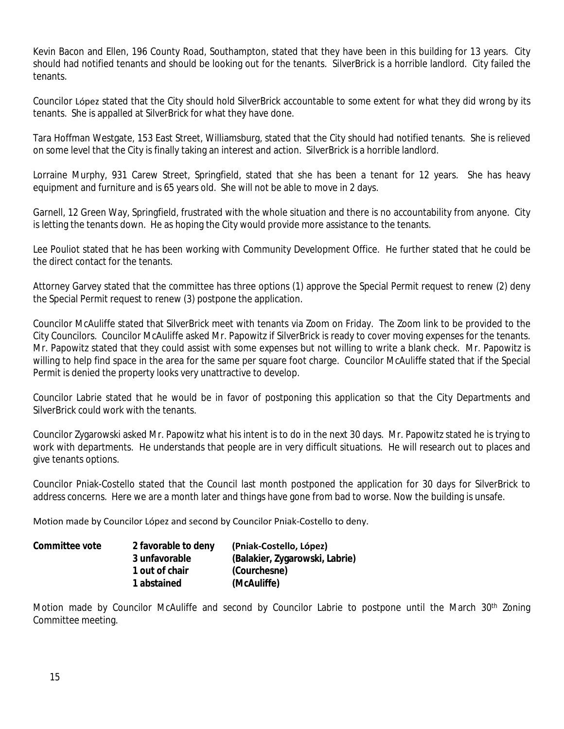Kevin Bacon and Ellen, 196 County Road, Southampton, stated that they have been in this building for 13 years. City should had notified tenants and should be looking out for the tenants. SilverBrick is a horrible landlord. City failed the tenants.

Councilor López stated that the City should hold SilverBrick accountable to some extent for what they did wrong by its tenants. She is appalled at SilverBrick for what they have done.

Tara Hoffman Westgate, 153 East Street, Williamsburg, stated that the City should had notified tenants. She is relieved on some level that the City is finally taking an interest and action. SilverBrick is a horrible landlord.

Lorraine Murphy, 931 Carew Street, Springfield, stated that she has been a tenant for 12 years. She has heavy equipment and furniture and is 65 years old. She will not be able to move in 2 days.

Garnell, 12 Green Way, Springfield, frustrated with the whole situation and there is no accountability from anyone. City is letting the tenants down. He as hoping the City would provide more assistance to the tenants.

Lee Pouliot stated that he has been working with Community Development Office. He further stated that he could be the direct contact for the tenants.

Attorney Garvey stated that the committee has three options (1) approve the Special Permit request to renew (2) deny the Special Permit request to renew (3) postpone the application.

Councilor McAuliffe stated that SilverBrick meet with tenants via Zoom on Friday. The Zoom link to be provided to the City Councilors. Councilor McAuliffe asked Mr. Papowitz if SilverBrick is ready to cover moving expenses for the tenants. Mr. Papowitz stated that they could assist with some expenses but not willing to write a blank check. Mr. Papowitz is willing to help find space in the area for the same per square foot charge. Councilor McAuliffe stated that if the Special Permit is denied the property looks very unattractive to develop.

Councilor Labrie stated that he would be in favor of postponing this application so that the City Departments and SilverBrick could work with the tenants.

Councilor Zygarowski asked Mr. Papowitz what his intent is to do in the next 30 days. Mr. Papowitz stated he is trying to work with departments. He understands that people are in very difficult situations. He will research out to places and give tenants options.

Councilor Pniak-Costello stated that the Council last month postponed the application for 30 days for SilverBrick to address concerns. Here we are a month later and things have gone from bad to worse. Now the building is unsafe.

Motion made by Councilor López and second by Councilor Pniak-Costello to deny.

| Committee vote | 2 favorable to deny | (Pniak-Costello, López)        |
|----------------|---------------------|--------------------------------|
|                | 3 unfavorable       | (Balakier, Zygarowski, Labrie) |
|                | 1 out of chair      | (Courchesne)                   |
|                | 1 abstained         | (McAuliffe)                    |

Motion made by Councilor McAuliffe and second by Councilor Labrie to postpone until the March 30<sup>th</sup> Zoning Committee meeting.